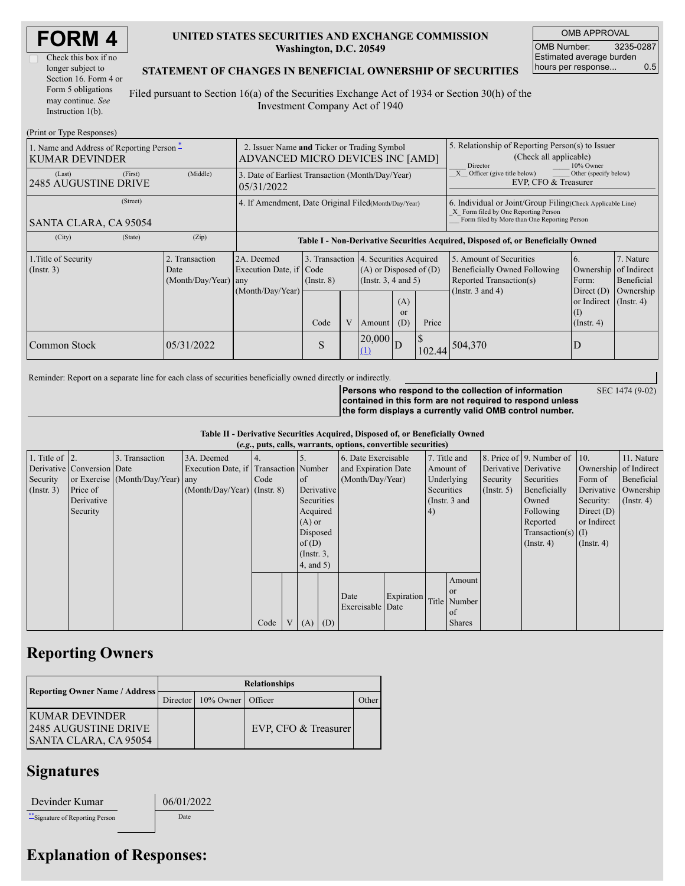| <b>FORM4</b> |  |
|--------------|--|
|--------------|--|

### **UNITED STATES SECURITIES AND EXCHANGE COMMISSION Washington, D.C. 20549**

OMB APPROVAL OMB Number: 3235-0287 Estimated average burden hours per response... 0.5

SEC 1474 (9-02)

### **STATEMENT OF CHANGES IN BENEFICIAL OWNERSHIP OF SECURITIES**

Filed pursuant to Section 16(a) of the Securities Exchange Act of 1934 or Section 30(h) of the Investment Company Act of 1940

| (Print or Type Responses)                                                    |                                                                                 |                                                  |                                                                |                         |   |                                                                                                            |                                                                                                                                          |                                                                                                                                                     |                                                                                                             |                                                                                                           |                                      |  |
|------------------------------------------------------------------------------|---------------------------------------------------------------------------------|--------------------------------------------------|----------------------------------------------------------------|-------------------------|---|------------------------------------------------------------------------------------------------------------|------------------------------------------------------------------------------------------------------------------------------------------|-----------------------------------------------------------------------------------------------------------------------------------------------------|-------------------------------------------------------------------------------------------------------------|-----------------------------------------------------------------------------------------------------------|--------------------------------------|--|
| 1. Name and Address of Reporting Person $\tilde{-}$<br><b>KUMAR DEVINDER</b> | 2. Issuer Name and Ticker or Trading Symbol<br>ADVANCED MICRO DEVICES INC [AMD] |                                                  |                                                                |                         |   | 5. Relationship of Reporting Person(s) to Issuer<br>(Check all applicable)<br>10% Owner<br><b>Director</b> |                                                                                                                                          |                                                                                                                                                     |                                                                                                             |                                                                                                           |                                      |  |
| (Last)<br>2485 AUGUSTINE DRIVE                                               | (First)                                                                         | (Middle)                                         | 3. Date of Earliest Transaction (Month/Day/Year)<br>05/31/2022 |                         |   |                                                                                                            |                                                                                                                                          |                                                                                                                                                     | $\overline{X}$ Officer (give title below)<br>Other (specify below)<br>EVP, CFO & Treasurer                  |                                                                                                           |                                      |  |
| SANTA CLARA, CA 95054                                                        | (Street)                                                                        |                                                  | 4. If Amendment, Date Original Filed (Month/Day/Year)          |                         |   |                                                                                                            |                                                                                                                                          | 6. Individual or Joint/Group Filing (Check Applicable Line)<br>X Form filed by One Reporting Person<br>Form filed by More than One Reporting Person |                                                                                                             |                                                                                                           |                                      |  |
| (City)                                                                       | (State)                                                                         | (Zip)                                            |                                                                |                         |   |                                                                                                            |                                                                                                                                          |                                                                                                                                                     | Table I - Non-Derivative Securities Acquired, Disposed of, or Beneficially Owned                            |                                                                                                           |                                      |  |
| 1. Title of Security<br>$($ Instr. 3 $)$                                     |                                                                                 | 2. Transaction<br>Date<br>$(Month/Day/Year)$ any | 2A. Deemed<br>Execution Date, if Code<br>(Month/Day/Year)      | $($ Instr. $8)$<br>Code | V | Amount                                                                                                     | 3. Transaction 4. Securities Acquired<br>$(A)$ or Disposed of $(D)$<br>$($ Instr. 3, 4 and 5 $)$<br>(A)<br><sub>or</sub><br>Price<br>(D) |                                                                                                                                                     | 5. Amount of Securities<br>Beneficially Owned Following<br>Reported Transaction(s)<br>(Instr. $3$ and $4$ ) | 6.<br>Ownership of Indirect<br>Form:<br>Direct $(D)$<br>or Indirect (Instr. 4)<br>(I)<br>$($ Instr. 4 $)$ | 7. Nature<br>Beneficial<br>Ownership |  |
| Common Stock                                                                 |                                                                                 | 05/31/2022                                       |                                                                | S                       |   | 20,000<br>(1)                                                                                              | D                                                                                                                                        |                                                                                                                                                     | 102.44 504,370                                                                                              |                                                                                                           |                                      |  |

Reminder: Report on a separate line for each class of securities beneficially owned directly or indirectly.

**Persons who respond to the collection of information contained in this form are not required to respond unless the form displays a currently valid OMB control number.**

**Table II - Derivative Securities Acquired, Disposed of, or Beneficially Owned**

|                    |                            |                                  |                                       |      |                 |            | (e.g., puts, calls, warrants, options, convertible securities) |                                  |                                |                       |                      |                          |                      |               |
|--------------------|----------------------------|----------------------------------|---------------------------------------|------|-----------------|------------|----------------------------------------------------------------|----------------------------------|--------------------------------|-----------------------|----------------------|--------------------------|----------------------|---------------|
| 1. Title of $ 2$ . |                            | 3. Transaction                   | 3A. Deemed                            |      |                 |            | 6. Date Exercisable                                            |                                  | 7. Title and                   |                       |                      | 8. Price of 9. Number of | 10.                  | 11. Nature    |
|                    | Derivative Conversion Date |                                  | Execution Date, if Transaction Number |      |                 |            |                                                                | and Expiration Date<br>Amount of |                                | Derivative Derivative |                      | Ownership of Indirect    |                      |               |
| Security           |                            | or Exercise (Month/Day/Year) any |                                       | Code | <sub>of</sub>   |            | (Month/Day/Year)                                               | Underlying                       |                                | Security              | Securities           | Form of                  | Beneficial           |               |
| $($ Instr. 3 $)$   | Price of                   |                                  | $(Month/Dav/Year)$ (Instr. 8)         |      |                 | Derivative |                                                                |                                  | Securities<br>$($ Instr. 5 $)$ |                       | Beneficially         |                          | Derivative Ownership |               |
|                    | Derivative                 |                                  |                                       |      | Securities      |            |                                                                |                                  |                                | (Instr. $3$ and       |                      | Owned                    | Security:            | $($ Instr. 4) |
|                    | Security                   |                                  |                                       |      | Acquired        |            |                                                                | 4)                               |                                |                       |                      | Following                | Direct $(D)$         |               |
|                    |                            |                                  |                                       |      | $(A)$ or        |            |                                                                |                                  |                                |                       |                      | Reported                 | or Indirect          |               |
|                    |                            |                                  |                                       |      | Disposed        |            |                                                                |                                  |                                |                       | Transaction(s) $(I)$ |                          |                      |               |
|                    |                            |                                  |                                       |      | of $(D)$        |            |                                                                |                                  |                                |                       |                      | $($ Instr. 4 $)$         | $($ Instr. 4)        |               |
|                    |                            |                                  |                                       |      | $($ Instr. $3,$ |            |                                                                |                                  |                                |                       |                      |                          |                      |               |
|                    |                            |                                  |                                       |      | $4$ , and $5$ ) |            |                                                                |                                  |                                |                       |                      |                          |                      |               |
|                    |                            |                                  |                                       |      |                 |            |                                                                |                                  |                                | Amount                |                      |                          |                      |               |
|                    |                            |                                  |                                       |      |                 |            |                                                                |                                  |                                | <b>or</b>             |                      |                          |                      |               |
|                    |                            |                                  |                                       |      |                 |            | Date                                                           | Expiration                       |                                | Title Number          |                      |                          |                      |               |
|                    |                            |                                  |                                       |      |                 |            | Exercisable Date                                               |                                  |                                | of                    |                      |                          |                      |               |
|                    |                            |                                  |                                       | Code | $(A)$ $(D)$     |            |                                                                |                                  |                                | <b>Shares</b>         |                      |                          |                      |               |

## **Reporting Owners**

|                                                                         | <b>Relationships</b> |                   |                        |      |  |  |  |  |
|-------------------------------------------------------------------------|----------------------|-------------------|------------------------|------|--|--|--|--|
| Reporting Owner Name / Address                                          | Director             | 10% Owner Officer |                        | ther |  |  |  |  |
| IKUMAR DEVINDER<br><b>2485 AUGUSTINE DRIVE</b><br>SANTA CLARA, CA 95054 |                      |                   | EVP, CFO $&$ Treasurer |      |  |  |  |  |

### **Signatures**

| Devinder Kumar |
|----------------|
|----------------|

06/01/2022 \*\*Signature of Reporting Person Date

# **Explanation of Responses:**